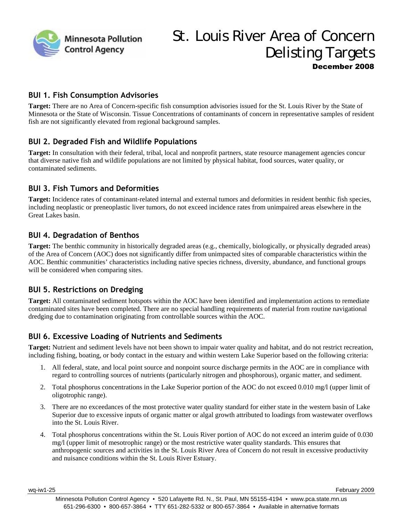

# St. Louis River Area of Concern Delisting Targets December 2008

#### **BUI 1. Fish Consumption Advisories**

**Target:** There are no Area of Concern-specific fish consumption advisories issued for the St. Louis River by the State of Minnesota or the State of Wisconsin. Tissue Concentrations of contaminants of concern in representative samples of resident fish are not significantly elevated from regional background samples.

#### **BUI 2. Degraded Fish and Wildlife Populations**

**Target:** In consultation with their federal, tribal, local and nonprofit partners, state resource management agencies concur that diverse native fish and wildlife populations are not limited by physical habitat, food sources, water quality, or contaminated sediments.

## **BUI 3. Fish Tumors and Deformities**

**Target:** Incidence rates of contaminant-related internal and external tumors and deformities in resident benthic fish species, including neoplastic or preneoplastic liver tumors, do not exceed incidence rates from unimpaired areas elsewhere in the Great Lakes basin.

## **BUI 4. Degradation of Benthos**

**Target:** The benthic community in historically degraded areas (e.g., chemically, biologically, or physically degraded areas) of the Area of Concern (AOC) does not significantly differ from unimpacted sites of comparable characteristics within the AOC. Benthic communities' characteristics including native species richness, diversity, abundance, and functional groups will be considered when comparing sites.

#### **BUI 5. Restrictions on Dredging**

**Target:** All contaminated sediment hotspots within the AOC have been identified and implementation actions to remediate contaminated sites have been completed. There are no special handling requirements of material from routine navigational dredging due to contamination originating from controllable sources within the AOC.

#### **BUI 6. Excessive Loading of Nutrients and Sediments**

**Target:** Nutrient and sediment levels have not been shown to impair water quality and habitat, and do not restrict recreation, including fishing, boating, or body contact in the estuary and within western Lake Superior based on the following criteria:

- 1. All federal, state, and local point source and nonpoint source discharge permits in the AOC are in compliance with regard to controlling sources of nutrients (particularly nitrogen and phosphorous), organic matter, and sediment.
- 2. Total phosphorus concentrations in the Lake Superior portion of the AOC do not exceed 0.010 mg/l (upper limit of oligotrophic range).
- 3. There are no exceedances of the most protective water quality standard for either state in the western basin of Lake Superior due to excessive inputs of organic matter or algal growth attributed to loadings from wastewater overflows into the St. Louis River.
- 4. Total phosphorus concentrations within the St. Louis River portion of AOC do not exceed an interim guide of 0.030 mg/l (upper limit of mesotrophic range) or the most restrictive water quality standards. This ensures that anthropogenic sources and activities in the St. Louis River Area of Concern do not result in excessive productivity and nuisance conditions within the St. Louis River Estuary.

wq-iw1-25 February 2009